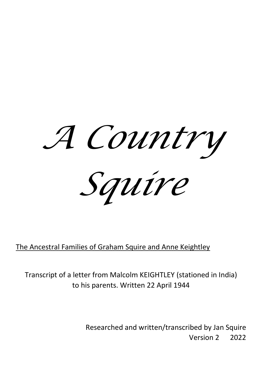

The Ancestral Families of Graham Squire and Anne Keightley

Transcript of a letter from Malcolm KEIGHTLEY (stationed in India) to his parents. Written 22 April 1944

> Researched and written/transcribed by Jan Squire Version 2 2022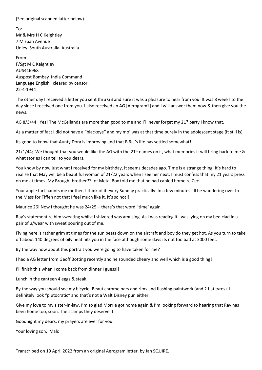(See original scanned latter below).

To: Mr & Mrs H C Keightley 7 Mizpah Avenue Unley South Australia Australia

From: F/Sgt M C Keightley AUS416968 Auspost Bombay India Command Language English, cleared by censor. 22-4-1944

The other day I received a letter you sent thru GB and sure it was a pleasure to hear from you. It was 8 weeks to the day since I received one from you. I also received an AG [Aerogram?] and I will answer them now & then give you the news.

AG 8/3/44; Yes! The McCellands are more than good to me and I'll never forget my 21<sup>st</sup> party I know that.

As a matter of fact I did not have a "blackeye" and my mo' was at that time purely in the adolescent stage (it still is).

Its good to know that Aunty Dora is improving and that B & J's life has settled somewhat!!

21/1/44; We thought that you would like the AG with the 21<sup>st</sup> names on it, what memories it will bring back to me & what stories I can tell to you dears.

You know by now just what I received for my birthday, it seems decades ago. Time is a strange thing, it's hard to realise that May will be a beautiful woman of 21/22 years when I see her next. I must confess that my 21 years press on me at times. My Brough [brother??] of Metal Box told me that he had cabled home re Cec.

Your apple tart haunts me mother. I think of it every Sunday practically. In a few minutes I'll be wandering over to the Mess for Tiffen not that I feel much like it, it's so hot!!

Maurice 26! Now I thought he was 24/25 – there's that word "time' again.

Ray's statement re him sweating whilst I shivered was amusing. As I was reading it I was lying on my bed clad in a pair of u/wear with sweat pouring out of me.

Flying here is rather grim at times for the sun beats down on the aircraft and boy do they get hot. As you turn to take off about 140 degrees of oily heat hits you in the face although some days its not too bad at 3000 feet.

By the way how about this portrait you were going to have taken for me?

I had a AG letter from Geoff Botting recently and he sounded cheery and well which is a good thing!

I'll finish this when I come back from dinner I guess!!!

Lunch in the canteen 4 eggs & steak.

By the way you should see my bicycle. Beaut chrome bars and rims and flashing paintwork (and 2 flat tyres). I definitely look "plutocratic" and that's not a Walt Disney pun either.

Give my love to my sister-in-law. I'm so glad Morrie got home again & I'm looking forward to hearing that Ray has been home too, soon. The scamps they deserve it.

Goodnight my dears, my prayers are ever for you.

Your loving son, Malc

Transcribed on 19 April 2022 from an original Aerogram letter, by Jan SQUIRE.